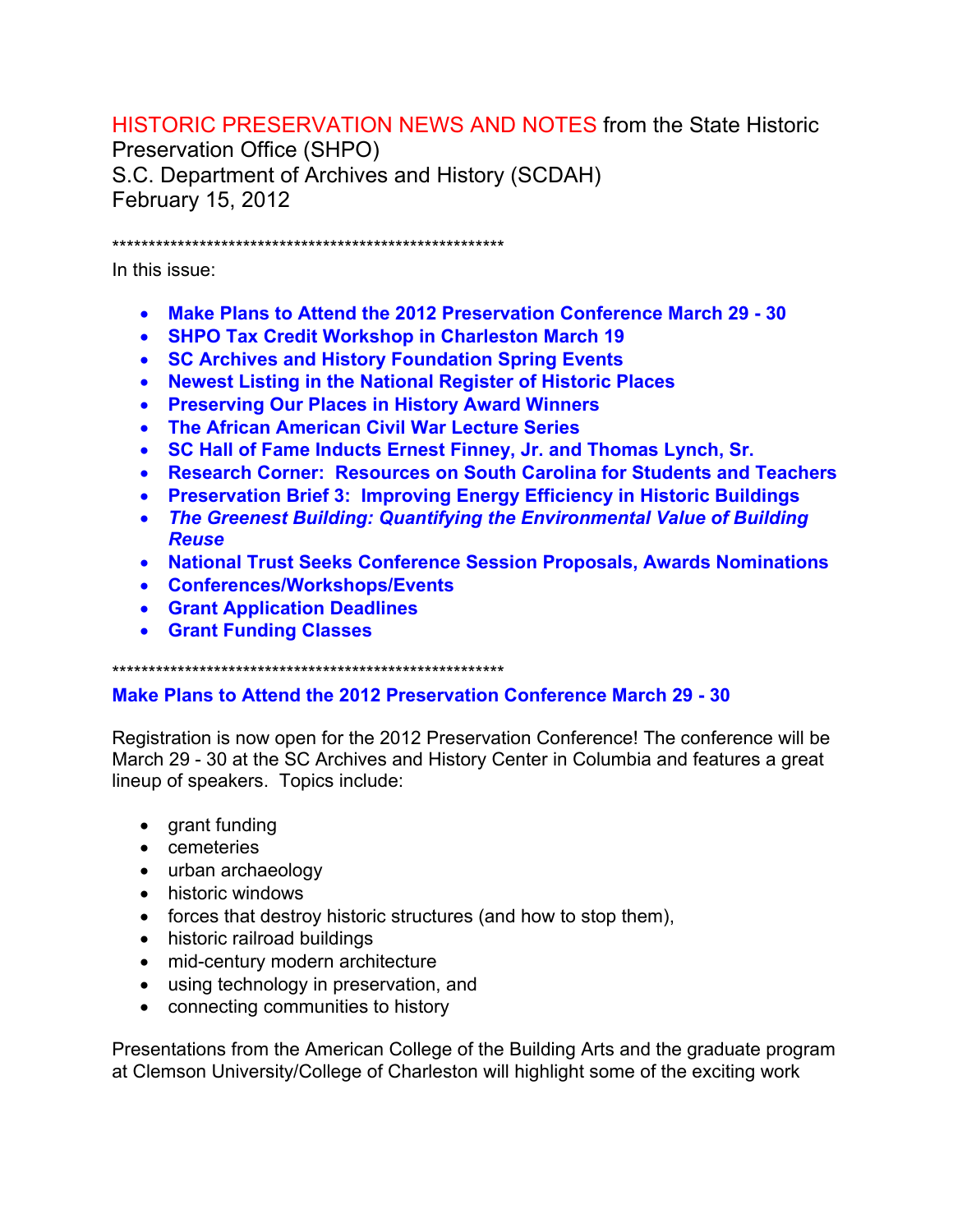HISTORIC PRESERVATION NEWS AND NOTES from the State Historic Preservation Office (SHPO) S.C. Department of Archives and History (SCDAH) February 15, 2012

#### \*\*\*\*\*\*\*\*\*\*\*\*\*\*\*\*\*\*\*\*\*\*\*\*\*\*\*\*\*\*\*\*\*\*\*\*\*\*\*\*\*\*\*\*\*\*\*\*\*\*\*\*\*\*

In this issue:

- **Make Plans to Attend the 2012 Preservation Conference March 29 30**
- **SHPO Tax Credit Workshop in Charleston March 19**
- **SC Archives and History Foundation Spring Events**
- **Newest Listing in the National Register of Historic Places**
- **Preserving Our Places in History Award Winners**
- **The African American Civil War Lecture Series**
- **SC Hall of Fame Inducts Ernest Finney, Jr. and Thomas Lynch, Sr.**
- **Research Corner: Resources on South Carolina for Students and Teachers**
- **Preservation Brief 3: Improving Energy Efficiency in Historic Buildings**
- *The Greenest Building: Quantifying the Environmental Value of Building Reuse*
- **National Trust Seeks Conference Session Proposals, Awards Nominations**
- **Conferences/Workshops/Events**
- **Grant Application Deadlines**
- **Grant Funding Classes**

\*\*\*\*\*\*\*\*\*\*\*\*\*\*\*\*\*\*\*\*\*\*\*\*\*\*\*\*\*\*\*\*\*\*\*\*\*\*\*\*\*\*\*\*\*\*\*\*\*\*\*\*\*\*

### **Make Plans to Attend the 2012 Preservation Conference March 29 - 30**

Registration is now open for the 2012 Preservation Conference! The conference will be March 29 - 30 at the SC Archives and History Center in Columbia and features a great lineup of speakers. Topics include:

- grant funding
- cemeteries
- urban archaeology
- historic windows
- forces that destroy historic structures (and how to stop them),
- historic railroad buildings
- mid-century modern architecture
- using technology in preservation, and
- connecting communities to history

Presentations from the American College of the Building Arts and the graduate program at Clemson University/College of Charleston will highlight some of the exciting work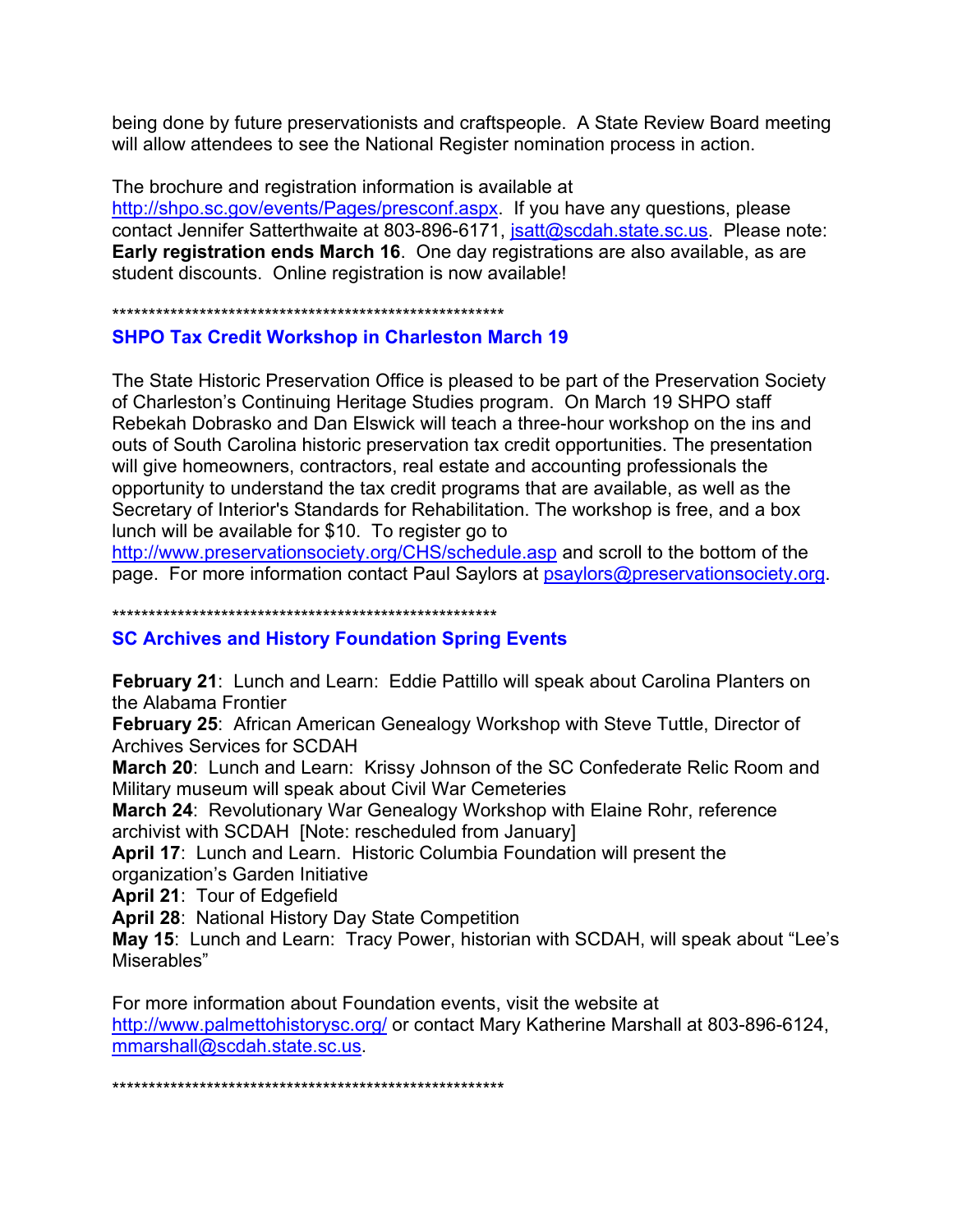being done by future preservationists and craftspeople. A State Review Board meeting will allow attendees to see the National Register nomination process in action.

The brochure and registration information is available at

http://shpo.sc.gov/events/Pages/presconf.aspx. If you have any questions, please contact Jennifer Satterthwaite at 803-896-6171, jsatt@scdah.state.sc.us. Please note: **Early registration ends March 16**. One day registrations are also available, as are student discounts. Online registration is now available!

. In the field of the field of the field of the field of the field of the field of the field of the field of the field of the field of the field of the field of the field of the field of the field of the field of the fiel

# **SHPO Tax Credit Workshop in Charleston March 19**

The State Historic Preservation Office is pleased to be part of the Preservation Society of Charleston's Continuing Heritage Studies program. On March 19 SHPO staff Rebekah Dobrasko and Dan Elswick will teach a three-hour workshop on the ins and outs of South Carolina historic preservation tax credit opportunities. The presentation will give homeowners, contractors, real estate and accounting professionals the opportunity to understand the tax credit programs that are available, as well as the Secretary of Interior's Standards for Rehabilitation. The workshop is free, and a box lunch will be available for \$10. To register go to

http://www.preservationsociety.org/CHS/schedule.asp and scroll to the bottom of the page. For more information contact Paul Saylors at psaylors@preservationsociety.org.

\*\*\*\*\*\*\*\*\*\*\*\*\*\*\*\*\*\*\*\*\*\*\*\*\*\*\*\*\*\*\*\*\*\*\*\*\*\*\*\*\*\*\*\*\*\*\*\*\*\*\*\*\*

**SC Archives and History Foundation Spring Events** 

**February 21**: Lunch and Learn: Eddie Pattillo will speak about Carolina Planters on the Alabama Frontier

**February 25**: African American Genealogy Workshop with Steve Tuttle, Director of Archives Services for SCDAH

**March 20**: Lunch and Learn: Krissy Johnson of the SC Confederate Relic Room and Military museum will speak about Civil War Cemeteries

**March 24**: Revolutionary War Genealogy Workshop with Elaine Rohr, reference archivist with SCDAH [Note: rescheduled from January]

**April 17**: Lunch and Learn. Historic Columbia Foundation will present the organization's Garden Initiative

**April 21**: Tour of Edgefield

**April 28**: National History Day State Competition

**May 15**: Lunch and Learn: Tracy Power, historian with SCDAH, will speak about "Lee's Miserables"

For more information about Foundation events, visit the website at http://www.palmettohistorysc.org/ or contact Mary Katherine Marshall at 803-896-6124, mmarshall@scdah.state.sc.us.

\*\*\*\*\*\*\*\*\*\*\*\*\*\*\*\*\*\*\*\*\*\*\*\*\*\*\*\*\*\*\*\*\*\*\*\*\*\*\*\*\*\*\*\*\*\*\*\*\*\*\*\*\*\*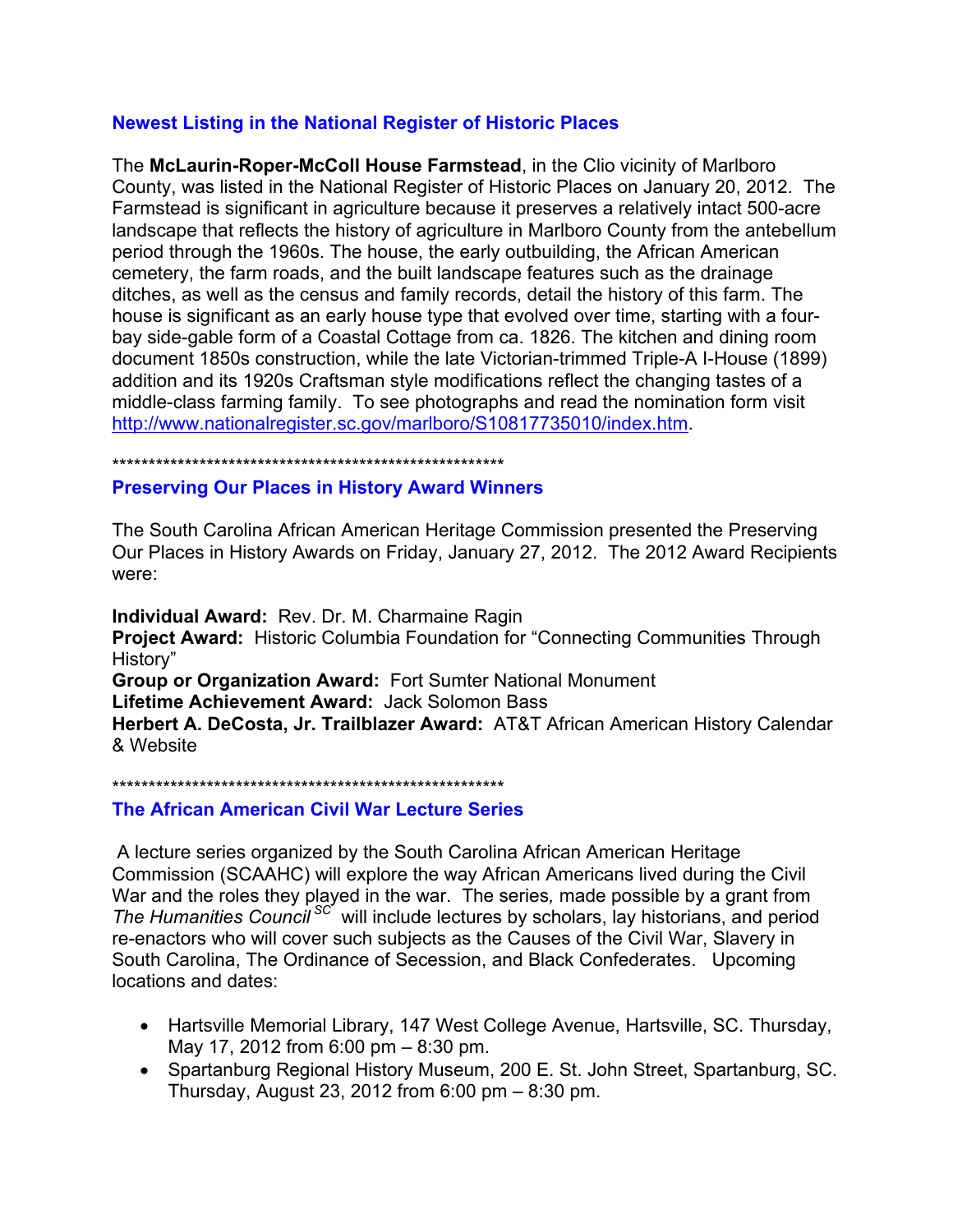### **Newest Listing in the National Register of Historic Places**

The **McLaurin-Roper-McColl House Farmstead**, in the Clio vicinity of Marlboro County, was listed in the National Register of Historic Places on January 20, 2012. The Farmstead is significant in agriculture because it preserves a relatively intact 500-acre landscape that reflects the history of agriculture in Marlboro County from the antebellum period through the 1960s. The house, the early outbuilding, the African American cemetery, the farm roads, and the built landscape features such as the drainage ditches, as well as the census and family records, detail the history of this farm. The house is significant as an early house type that evolved over time, starting with a fourbay side-gable form of a Coastal Cottage from ca. 1826. The kitchen and dining room document 1850s construction, while the late Victorian-trimmed Triple-A I-House (1899) addition and its 1920s Craftsman style modifications reflect the changing tastes of a middle-class farming family. To see photographs and read the nomination form visit http://www.nationalregister.sc.gov/marlboro/S10817735010/index.htm.

\*\*\*\*\*\*\*\*\*\*\*\*\*\*\*\*\*\*\*\*\*\*\*\*\*\*\*\*\*\*\*\*\*\*\*\*\*\*\*\*\*\*\*\*\*\*\*\*\*\*\*\*\*\*

#### **Preserving Our Places in History Award Winners**

The South Carolina African American Heritage Commission presented the Preserving Our Places in History Awards on Friday, January 27, 2012. The 2012 Award Recipients were:

**Individual Award:** Rev. Dr. M. Charmaine Ragin **Project Award:** Historic Columbia Foundation for "Connecting Communities Through History" **Group or Organization Award:** Fort Sumter National Monument **Lifetime Achievement Award:** Jack Solomon Bass **Herbert A. DeCosta, Jr. Trailblazer Award:** AT&T African American History Calendar & Website

\*\*\*\*\*\*\*\*\*\*\*\*\*\*\*\*\*\*\*\*\*\*\*\*\*\*\*\*\*\*\*\*\*\*\*\*\*\*\*\*\*\*\*\*\*\*\*\*\*\*\*\*\*\*

### **The African American Civil War Lecture Series**

 A lecture series organized by the South Carolina African American Heritage Commission (SCAAHC) will explore the way African Americans lived during the Civil War and the roles they played in the war. The series*,* made possible by a grant from *The Humanities Council SC* will include lectures by scholars, lay historians, and period re-enactors who will cover such subjects as the Causes of the Civil War, Slavery in South Carolina, The Ordinance of Secession, and Black Confederates. Upcoming locations and dates:

- Hartsville Memorial Library, 147 West College Avenue, Hartsville, SC. Thursday, May 17, 2012 from 6:00 pm – 8:30 pm.
- Spartanburg Regional History Museum, 200 E. St. John Street, Spartanburg, SC. Thursday, August 23, 2012 from 6:00 pm – 8:30 pm.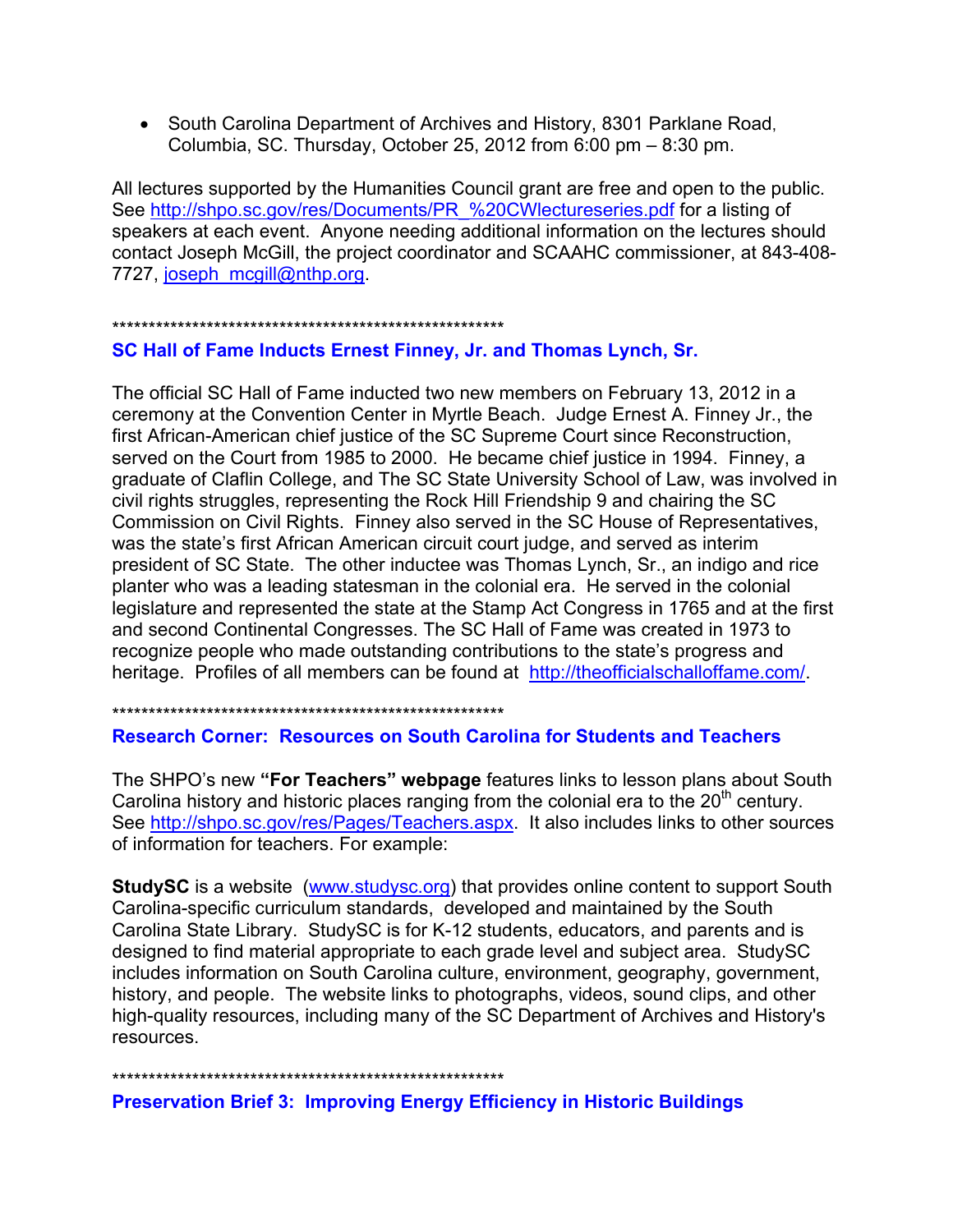• South Carolina Department of Archives and History, 8301 Parklane Road, Columbia, SC. Thursday, October 25, 2012 from 6:00 pm – 8:30 pm.

All lectures supported by the Humanities Council grant are free and open to the public. See http://shpo.sc.gov/res/Documents/PR\_%20CWlectureseries.pdf for a listing of speakers at each event. Anyone needing additional information on the lectures should contact Joseph McGill, the project coordinator and SCAAHC commissioner, at 843-408- 7727, joseph\_mcgill@nthp.org.

\*\*\*\*\*\*\*\*\*\*\*\*\*\*\*\*\*\*\*\*\*\*\*\*\*\*\*\*\*\*\*\*\*\*\*\*\*\*\*\*\*\*\*\*\*\*\*\*\*\*\*\*\*\*

# **SC Hall of Fame Inducts Ernest Finney, Jr. and Thomas Lynch, Sr.**

The official SC Hall of Fame inducted two new members on February 13, 2012 in a ceremony at the Convention Center in Myrtle Beach. Judge Ernest A. Finney Jr., the first African-American chief justice of the SC Supreme Court since Reconstruction, served on the Court from 1985 to 2000. He became chief justice in 1994. Finney, a graduate of Claflin College, and The SC State University School of Law, was involved in civil rights struggles, representing the Rock Hill Friendship 9 and chairing the SC Commission on Civil Rights. Finney also served in the SC House of Representatives, was the state's first African American circuit court judge, and served as interim president of SC State. The other inductee was Thomas Lynch, Sr., an indigo and rice planter who was a leading statesman in the colonial era. He served in the colonial legislature and represented the state at the Stamp Act Congress in 1765 and at the first and second Continental Congresses. The SC Hall of Fame was created in 1973 to recognize people who made outstanding contributions to the state's progress and heritage. Profiles of all members can be found at http://theofficialschalloffame.com/.

\*\*\*\*\*\*\*\*\*\*\*\*\*\*\*\*\*\*\*\*\*\*\*\*\*\*\*\*\*\*\*\*\*\*\*\*\*\*\*\*\*\*\*\*\*\*\*\*\*\*\*\*\*\*

# **Research Corner: Resources on South Carolina for Students and Teachers**

The SHPO's new **"For Teachers" webpage** features links to lesson plans about South Carolina history and historic places ranging from the colonial era to the  $20<sup>th</sup>$  century. See http://shpo.sc.gov/res/Pages/Teachers.aspx. It also includes links to other sources of information for teachers. For example:

**StudySC** is a website (www.studysc.org) that provides online content to support South Carolina-specific curriculum standards, developed and maintained by the South Carolina State Library. StudySC is for K-12 students, educators, and parents and is designed to find material appropriate to each grade level and subject area. StudySC includes information on South Carolina culture, environment, geography, government, history, and people. The website links to photographs, videos, sound clips, and other high-quality resources, including many of the SC Department of Archives and History's resources.

\*\*\*\*\*\*\*\*\*\*\*\*\*\*\*\*\*\*\*\*\*\*\*\*\*\*\*\*\*\*\*\*\*\*\*\*\*\*\*\*\*\*\*\*\*\*\*\*\*\*\*\*\*\*

**Preservation Brief 3: Improving Energy Efficiency in Historic Buildings**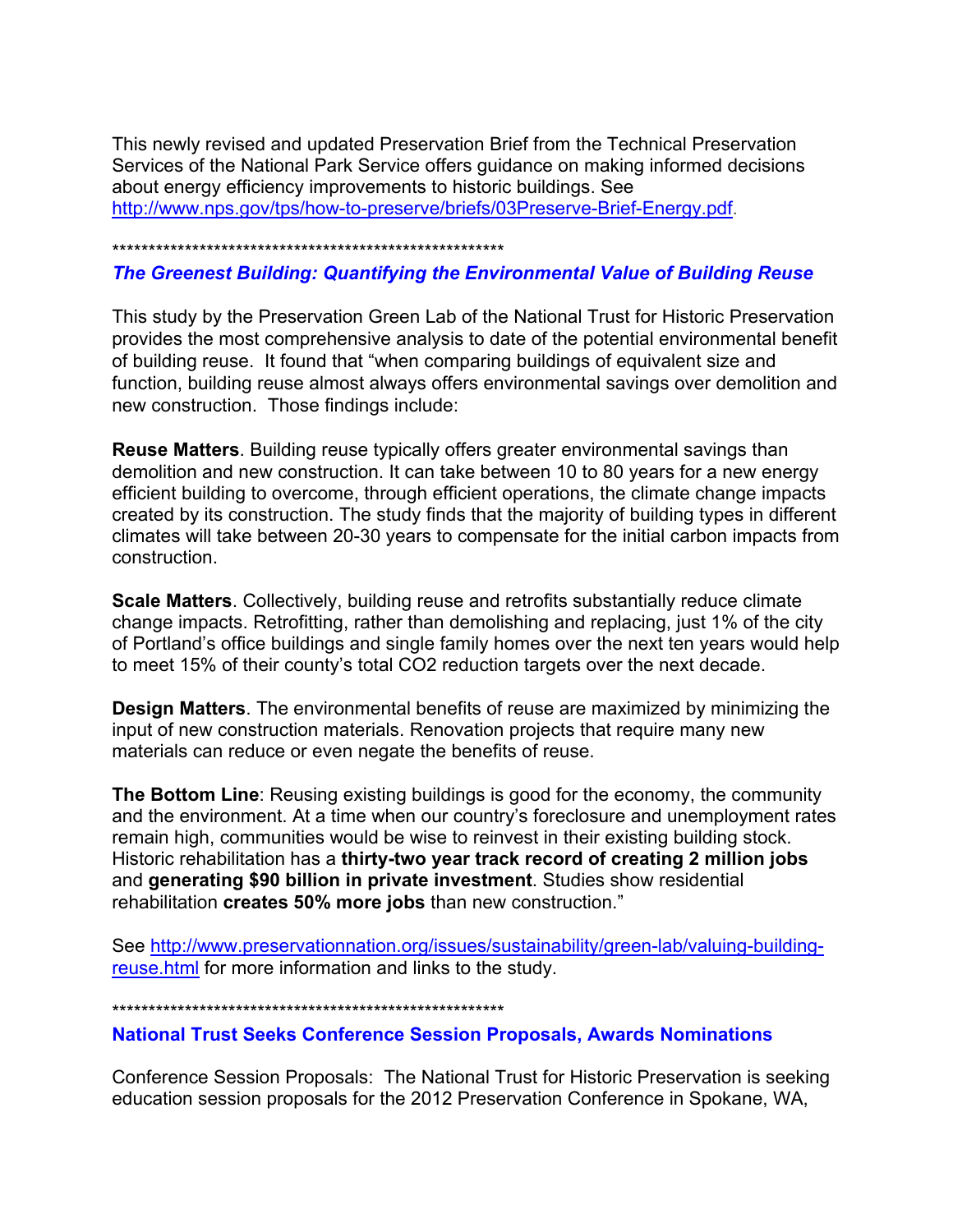This newly revised and updated Preservation Brief from the Technical Preservation Services of the National Park Service offers guidance on making informed decisions about energy efficiency improvements to historic buildings. See http://www.nps.gov/tps/how-to-preserve/briefs/03Preserve-Brief-Energy.pdf.

\*\*\*\*\*\*\*\*\*\*\*\*\*\*\*\*\*\*\*\*\*\*\*\*\*\*\*\*\*\*\*\*\*\*\*\*\*\*\*\*\*\*\*\*\*\*\*\*\*\*\*\*\*\*

# *The Greenest Building: Quantifying the Environmental Value of Building Reuse*

This study by the Preservation Green Lab of the National Trust for Historic Preservation provides the most comprehensive analysis to date of the potential environmental benefit of building reuse. It found that "when comparing buildings of equivalent size and function, building reuse almost always offers environmental savings over demolition and new construction. Those findings include:

**Reuse Matters**. Building reuse typically offers greater environmental savings than demolition and new construction. It can take between 10 to 80 years for a new energy efficient building to overcome, through efficient operations, the climate change impacts created by its construction. The study finds that the majority of building types in different climates will take between 20-30 years to compensate for the initial carbon impacts from construction.

**Scale Matters**. Collectively, building reuse and retrofits substantially reduce climate change impacts. Retrofitting, rather than demolishing and replacing, just 1% of the city of Portland's office buildings and single family homes over the next ten years would help to meet 15% of their county's total CO2 reduction targets over the next decade.

**Design Matters**. The environmental benefits of reuse are maximized by minimizing the input of new construction materials. Renovation projects that require many new materials can reduce or even negate the benefits of reuse.

**The Bottom Line**: Reusing existing buildings is good for the economy, the community and the environment. At a time when our country's foreclosure and unemployment rates remain high, communities would be wise to reinvest in their existing building stock. Historic rehabilitation has a **thirty-two year track record of creating 2 million jobs** and **generating \$90 billion in private investment**. Studies show residential rehabilitation **creates 50% more jobs** than new construction."

See http://www.preservationnation.org/issues/sustainability/green-lab/valuing-buildingreuse.html for more information and links to the study.

\*\*\*\*\*\*\*\*\*\*\*\*\*\*\*\*\*\*\*\*\*\*\*\*\*\*\*\*\*\*\*\*\*\*\*\*\*\*\*\*\*\*\*\*\*\*\*\*\*\*\*\*\*\*

**National Trust Seeks Conference Session Proposals, Awards Nominations**

Conference Session Proposals: The National Trust for Historic Preservation is seeking education session proposals for the 2012 Preservation Conference in Spokane, WA,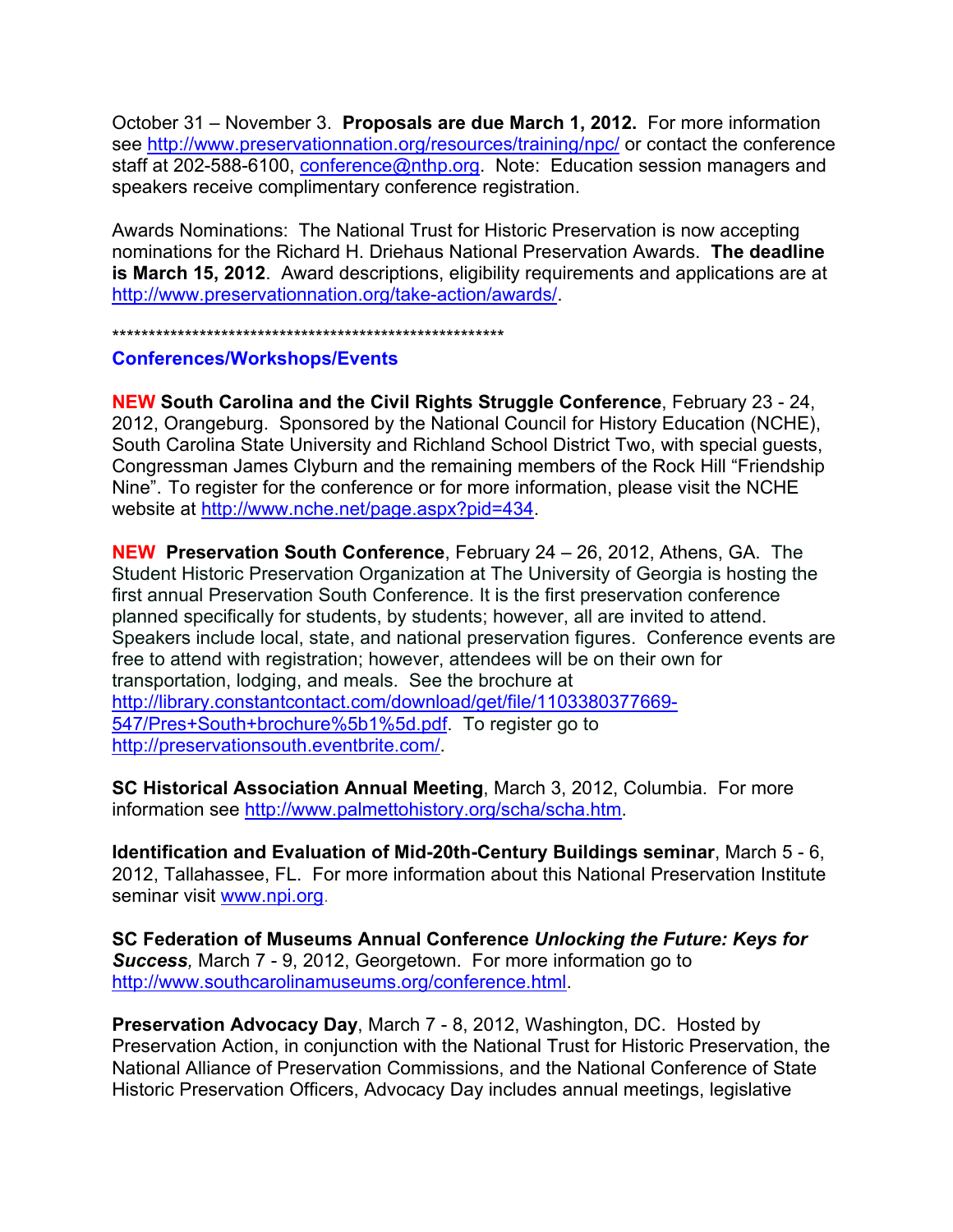October 31 – November 3. **Proposals are due March 1, 2012.** For more information see http://www.preservationnation.org/resources/training/npc/ or contact the conference staff at 202-588-6100, conference@nthp.org. Note: Education session managers and speakers receive complimentary conference registration.

Awards Nominations: The National Trust for Historic Preservation is now accepting nominations for the Richard H. Driehaus National Preservation Awards. **The deadline is March 15, 2012**. Award descriptions, eligibility requirements and applications are at http://www.preservationnation.org/take-action/awards/.

\*\*\*\*\*\*\*\*\*\*\*\*\*\*\*\*\*\*\*\*\*\*\*\*\*\*\*\*\*\*\*\*\*\*\*\*\*\*\*\*\*\*\*\*\*\*\*\*\*\*\*\*\*\*

#### **Conferences/Workshops/Events**

**NEW South Carolina and the Civil Rights Struggle Conference**, February 23 - 24, 2012, Orangeburg. Sponsored by the National Council for History Education (NCHE), South Carolina State University and Richland School District Two, with special guests, Congressman James Clyburn and the remaining members of the Rock Hill "Friendship Nine". To register for the conference or for more information, please visit the NCHE website at http://www.nche.net/page.aspx?pid=434.

**NEW Preservation South Conference**, February 24 – 26, 2012, Athens, GA. The Student Historic Preservation Organization at The University of Georgia is hosting the first annual Preservation South Conference. It is the first preservation conference planned specifically for students, by students; however, all are invited to attend. Speakers include local, state, and national preservation figures. Conference events are free to attend with registration; however, attendees will be on their own for transportation, lodging, and meals. See the brochure at http://library.constantcontact.com/download/get/file/1103380377669- 547/Pres+South+brochure%5b1%5d.pdf. To register go to http://preservationsouth.eventbrite.com/.

**SC Historical Association Annual Meeting**, March 3, 2012, Columbia. For more information see http://www.palmettohistory.org/scha/scha.htm.

**Identification and Evaluation of Mid-20th-Century Buildings seminar**, March 5 - 6, 2012, Tallahassee, FL. For more information about this National Preservation Institute seminar visit www.npi.org.

**SC Federation of Museums Annual Conference** *Unlocking the Future: Keys for Success,* March 7 - 9, 2012, Georgetown. For more information go to http://www.southcarolinamuseums.org/conference.html.

**Preservation Advocacy Day**, March 7 - 8, 2012, Washington, DC. Hosted by Preservation Action, in conjunction with the National Trust for Historic Preservation, the National Alliance of Preservation Commissions, and the National Conference of State Historic Preservation Officers, Advocacy Day includes annual meetings, legislative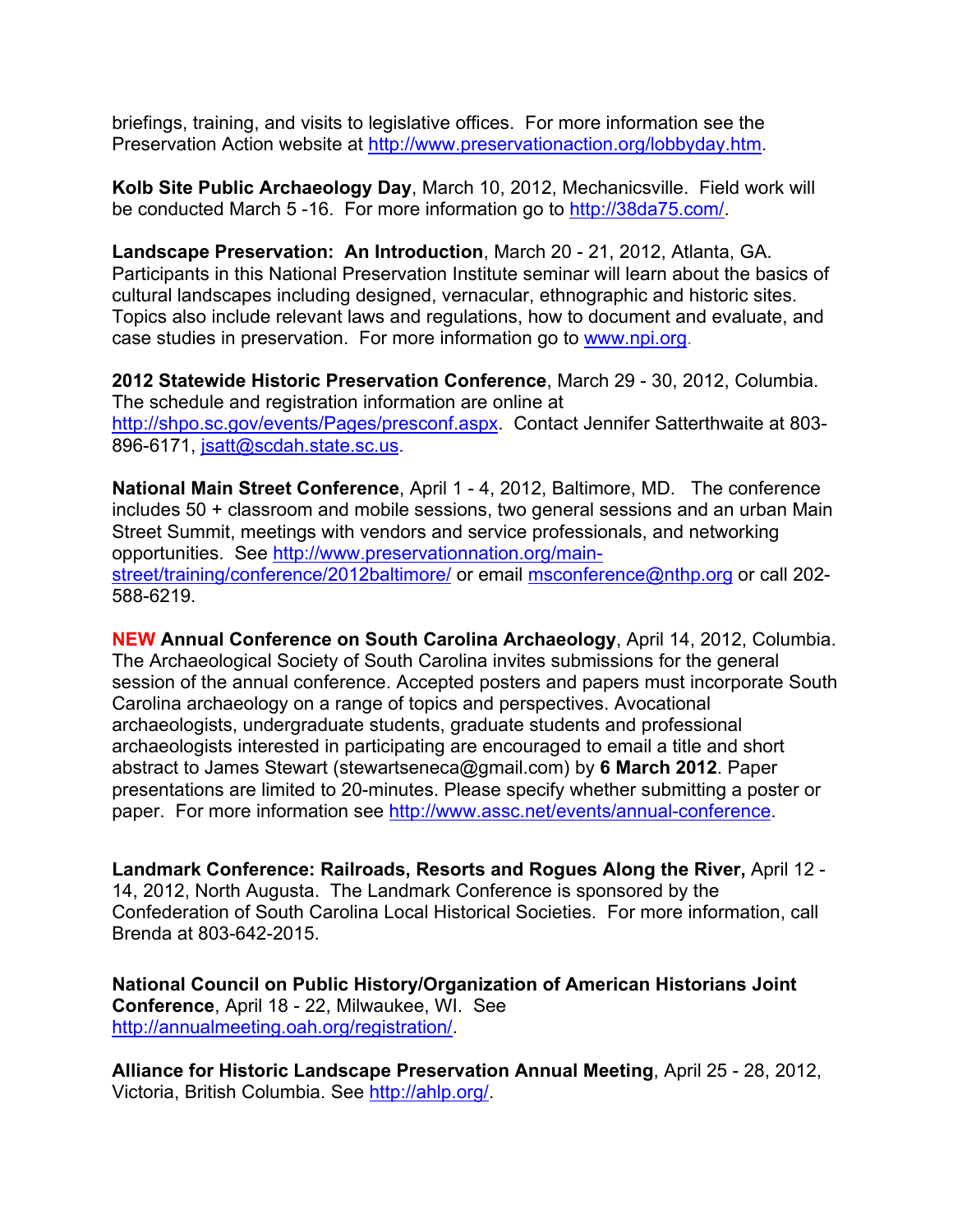briefings, training, and visits to legislative offices. For more information see the Preservation Action website at http://www.preservationaction.org/lobbyday.htm.

**Kolb Site Public Archaeology Day**, March 10, 2012, Mechanicsville. Field work will be conducted March 5 -16. For more information go to http://38da75.com/.

**Landscape Preservation: An Introduction**, March 20 - 21, 2012, Atlanta, GA. Participants in this National Preservation Institute seminar will learn about the basics of cultural landscapes including designed, vernacular, ethnographic and historic sites. Topics also include relevant laws and regulations, how to document and evaluate, and case studies in preservation. For more information go to www.npi.org.

**2012 Statewide Historic Preservation Conference**, March 29 - 30, 2012, Columbia. The schedule and registration information are online at http://shpo.sc.gov/events/Pages/presconf.aspx. Contact Jennifer Satterthwaite at 803- 896-6171, jsatt@scdah.state.sc.us.

**National Main Street Conference**, April 1 - 4, 2012, Baltimore, MD. The conference includes 50 + classroom and mobile sessions, two general sessions and an urban Main Street Summit, meetings with vendors and service professionals, and networking opportunities. See http://www.preservationnation.org/mainstreet/training/conference/2012baltimore/ or email msconference@nthp.org or call 202-588-6219.

**NEW Annual Conference on South Carolina Archaeology**, April 14, 2012, Columbia. The Archaeological Society of South Carolina invites submissions for the general session of the annual conference. Accepted posters and papers must incorporate South Carolina archaeology on a range of topics and perspectives. Avocational archaeologists, undergraduate students, graduate students and professional archaeologists interested in participating are encouraged to email a title and short abstract to James Stewart (stewartseneca@gmail.com) by **6 March 2012**. Paper presentations are limited to 20-minutes. Please specify whether submitting a poster or paper. For more information see http://www.assc.net/events/annual-conference.

**Landmark Conference: Railroads, Resorts and Rogues Along the River,** April 12 - 14, 2012, North Augusta. The Landmark Conference is sponsored by the Confederation of South Carolina Local Historical Societies. For more information, call Brenda at 803-642-2015.

**National Council on Public History/Organization of American Historians Joint Conference**, April 18 - 22, Milwaukee, WI. See http://annualmeeting.oah.org/registration/.

**Alliance for Historic Landscape Preservation Annual Meeting**, April 25 - 28, 2012, Victoria, British Columbia. See http://ahlp.org/.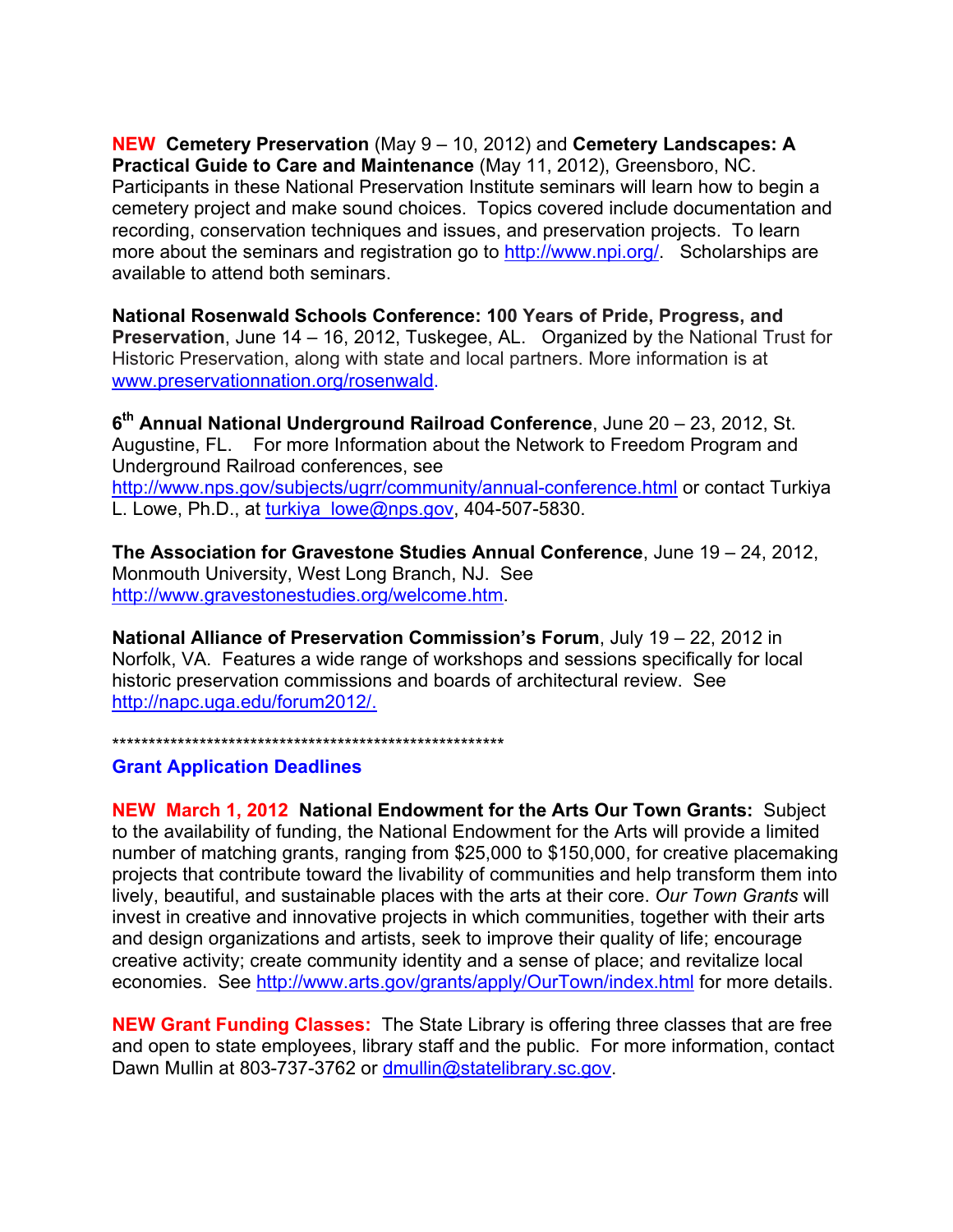**NEW Cemetery Preservation** (May 9 – 10, 2012) and **Cemetery Landscapes: A Practical Guide to Care and Maintenance** (May 11, 2012), Greensboro, NC. Participants in these National Preservation Institute seminars will learn how to begin a cemetery project and make sound choices. Topics covered include documentation and recording, conservation techniques and issues, and preservation projects. To learn more about the seminars and registration go to http://www.npi.org/. Scholarships are available to attend both seminars.

**National Rosenwald Schools Conference: 100 Years of Pride, Progress, and Preservation**, June 14 – 16, 2012, Tuskegee, AL. Organized by the National Trust for Historic Preservation, along with state and local partners. More information is at www.preservationnation.org/rosenwald.

**6 th Annual National Underground Railroad Conference**, June 20 – 23, 2012, St. Augustine, FL. For more Information about the Network to Freedom Program and Underground Railroad conferences, see

http://www.nps.gov/subjects/ugrr/community/annual-conference.html or contact Turkiya L. Lowe, Ph.D., at turkiya\_lowe@nps.gov, 404-507-5830.

**The Association for Gravestone Studies Annual Conference**, June 19 – 24, 2012, Monmouth University, West Long Branch, NJ. See http://www.gravestonestudies.org/welcome.htm.

**National Alliance of Preservation Commission's Forum**, July 19 – 22, 2012 in Norfolk, VA. Features a wide range of workshops and sessions specifically for local historic preservation commissions and boards of architectural review. See http://napc.uga.edu/forum2012/.

\*\*\*\*\*\*\*\*\*\*\*\*\*\*\*\*\*\*\*\*\*\*\*\*\*\*\*\*\*\*\*\*\*\*\*\*\*\*\*\*\*\*\*\*\*\*\*\*\*\*\*\*\*\*

### **Grant Application Deadlines**

**NEW March 1, 2012 National Endowment for the Arts Our Town Grants:** Subject to the availability of funding, the National Endowment for the Arts will provide a limited number of matching grants, ranging from \$25,000 to \$150,000, for creative placemaking projects that contribute toward the livability of communities and help transform them into lively, beautiful, and sustainable places with the arts at their core. *Our Town Grants* will invest in creative and innovative projects in which communities, together with their arts and design organizations and artists, seek to improve their quality of life; encourage creative activity; create community identity and a sense of place; and revitalize local economies. See http://www.arts.gov/grants/apply/OurTown/index.html for more details.

**NEW Grant Funding Classes:** The State Library is offering three classes that are free and open to state employees, library staff and the public. For more information, contact Dawn Mullin at 803-737-3762 or dmullin@statelibrary.sc.gov.